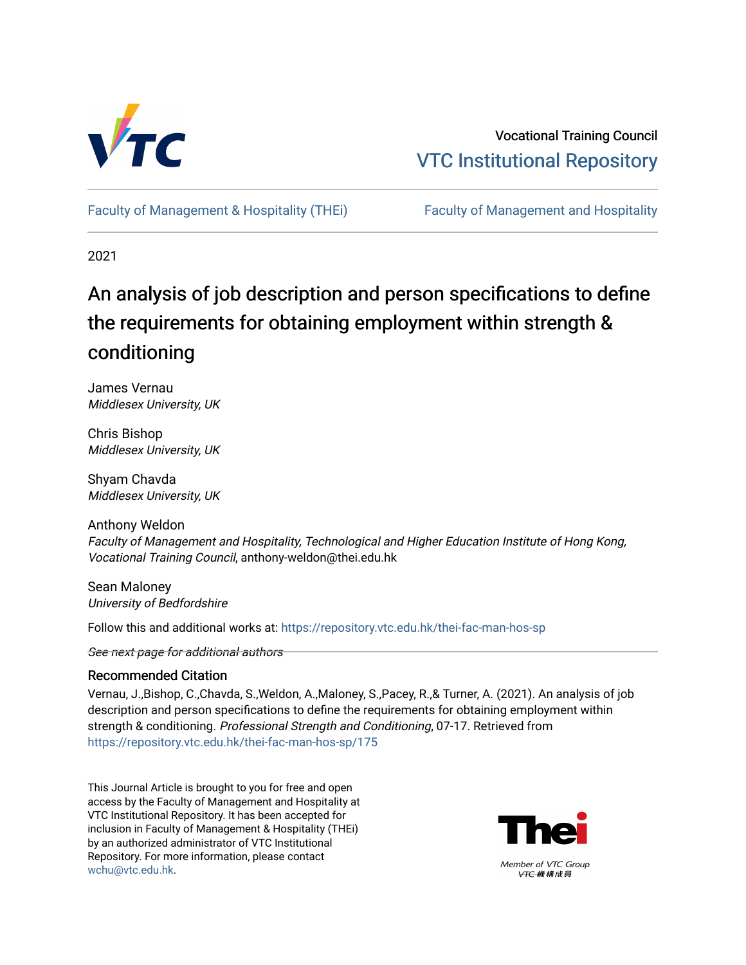

Vocational Training Council [VTC Institutional Repository](https://repository.vtc.edu.hk/) 

Faculty of Management & Hospitality (THEI) Faculty of Management and Hospitality

2021

# An analysis of job description and person specifications to define the requirements for obtaining employment within strength & conditioning

James Vernau Middlesex University, UK

Chris Bishop Middlesex University, UK

Shyam Chavda Middlesex University, UK

Anthony Weldon Faculty of Management and Hospitality, Technological and Higher Education Institute of Hong Kong, Vocational Training Council, anthony-weldon@thei.edu.hk

Sean Maloney University of Bedfordshire

Follow this and additional works at: [https://repository.vtc.edu.hk/thei-fac-man-hos-sp](https://repository.vtc.edu.hk/thei-fac-man-hos-sp?utm_source=repository.vtc.edu.hk%2Fthei-fac-man-hos-sp%2F175&utm_medium=PDF&utm_campaign=PDFCoverPages)

See next page for additional authors

# Recommended Citation

Vernau, J.,Bishop, C.,Chavda, S.,Weldon, A.,Maloney, S.,Pacey, R.,& Turner, A. (2021). An analysis of job description and person specifications to define the requirements for obtaining employment within strength & conditioning. Professional Strength and Conditioning, 07-17. Retrieved from [https://repository.vtc.edu.hk/thei-fac-man-hos-sp/175](https://repository.vtc.edu.hk/thei-fac-man-hos-sp/175?utm_source=repository.vtc.edu.hk%2Fthei-fac-man-hos-sp%2F175&utm_medium=PDF&utm_campaign=PDFCoverPages)

This Journal Article is brought to you for free and open access by the Faculty of Management and Hospitality at VTC Institutional Repository. It has been accepted for inclusion in Faculty of Management & Hospitality (THEi) by an authorized administrator of VTC Institutional Repository. For more information, please contact [wchu@vtc.edu.hk.](mailto:wchu@vtc.edu.hk)

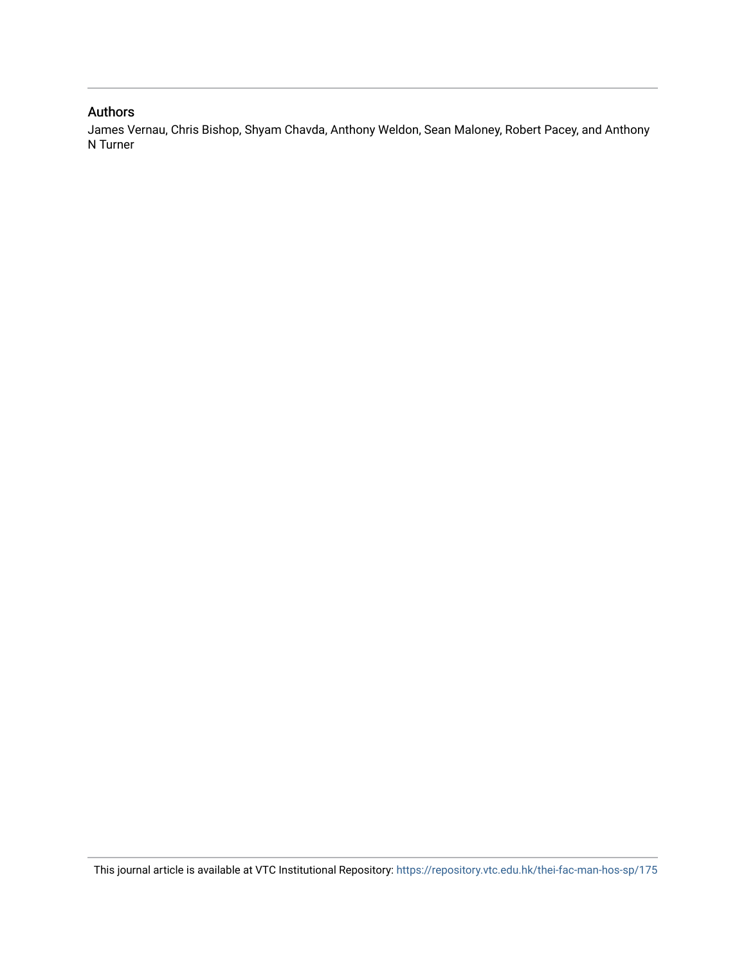# Authors

James Vernau, Chris Bishop, Shyam Chavda, Anthony Weldon, Sean Maloney, Robert Pacey, and Anthony N Turner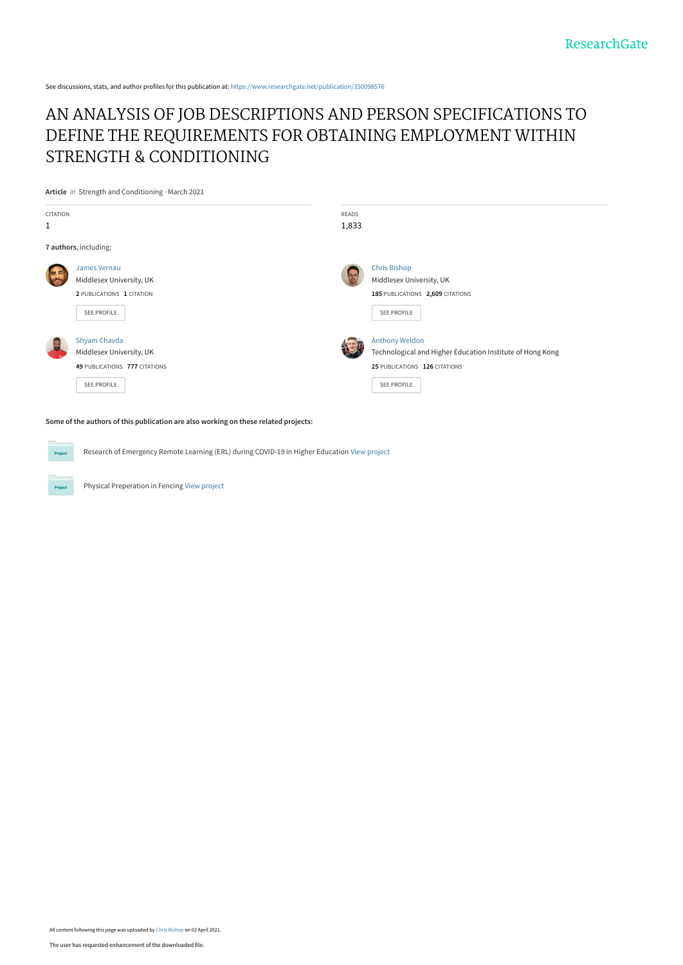See discussions, stats, and author profiles for this publication at: [https://www.researchgate.net/publication/350098576](https://www.researchgate.net/publication/350098576_AN_ANALYSIS_OF_JOB_DESCRIPTIONS_AND_PERSON_SPECIFICATIONS_TO_DEFINE_THE_REQUIREMENTS_FOR_OBTAINING_EMPLOYMENT_WITHIN_STRENGTH_CONDITIONING?enrichId=rgreq-72e923614f2c8a1f8a0c260a87bea1f5-XXX&enrichSource=Y292ZXJQYWdlOzM1MDA5ODU3NjtBUzoxMDA4MDYyOTc4NjE3MzQ1QDE2MTczNTIzNTE2Mjk%3D&el=1_x_2&_esc=publicationCoverPdf)

# [AN ANALYSIS OF JOB DESCRIPTIONS AND PERSON SPECIFICATIONS TO](https://www.researchgate.net/publication/350098576_AN_ANALYSIS_OF_JOB_DESCRIPTIONS_AND_PERSON_SPECIFICATIONS_TO_DEFINE_THE_REQUIREMENTS_FOR_OBTAINING_EMPLOYMENT_WITHIN_STRENGTH_CONDITIONING?enrichId=rgreq-72e923614f2c8a1f8a0c260a87bea1f5-XXX&enrichSource=Y292ZXJQYWdlOzM1MDA5ODU3NjtBUzoxMDA4MDYyOTc4NjE3MzQ1QDE2MTczNTIzNTE2Mjk%3D&el=1_x_3&_esc=publicationCoverPdf) DEFINE THE REQUIREMENTS FOR OBTAINING EMPLOYMENT WITHIN STRENGTH & CONDITIONING

**Article** in Strength and Conditioning · March 2021



**Some of the authors of this publication are also working on these related projects:**

Research of Emergency Remote Learning (ERL) during COVID-19 in Higher Education [View project](https://www.researchgate.net/project/Research-of-Emergency-Remote-Learning-ERL-during-COVID-19-in-Higher-Education?enrichId=rgreq-72e923614f2c8a1f8a0c260a87bea1f5-XXX&enrichSource=Y292ZXJQYWdlOzM1MDA5ODU3NjtBUzoxMDA4MDYyOTc4NjE3MzQ1QDE2MTczNTIzNTE2Mjk%3D&el=1_x_9&_esc=publicationCoverPdf) **Project** 

Physical Preperation in Fencing [View project](https://www.researchgate.net/project/Physical-Preperation-in-Fencing?enrichId=rgreq-72e923614f2c8a1f8a0c260a87bea1f5-XXX&enrichSource=Y292ZXJQYWdlOzM1MDA5ODU3NjtBUzoxMDA4MDYyOTc4NjE3MzQ1QDE2MTczNTIzNTE2Mjk%3D&el=1_x_9&_esc=publicationCoverPdf)

Project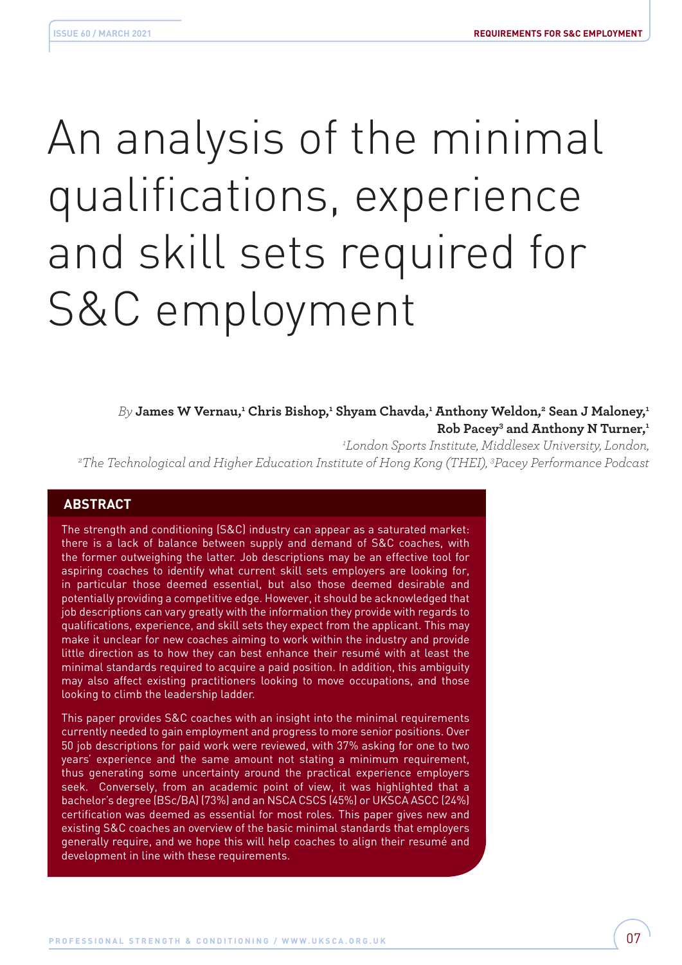# An analysis of the minimal qualifications, experience and skill sets required for S&C employment

 $B$ y James W Vernau,<del>'</del> Chris Bishop,' Shyam Chavda,' Anthony Weldon,<del>'</del> Sean J Maloney,' **Rob Pacey3 and Anthony N Turner,1**

<sup>1</sup>London Sports Institute, Middlesex University, London,

*London Sports Institute, Middlesex University, London, 2 The Technological and Higher Education Institute of Hong Kong (THEI), 3 Pacey Performance Podcast*

# **ABSTRACT**

The strength and conditioning (S&C) industry can appear as a saturated market: there is a lack of balance between supply and demand of S&C coaches, with the former outweighing the latter. Job descriptions may be an effective tool for aspiring coaches to identify what current skill sets employers are looking for, in particular those deemed essential, but also those deemed desirable and potentially providing a competitive edge. However, it should be acknowledged that job descriptions can vary greatly with the information they provide with regards to qualifications, experience, and skill sets they expect from the applicant. This may make it unclear for new coaches aiming to work within the industry and provide little direction as to how they can best enhance their resumé with at least the minimal standards required to acquire a paid position. In addition, this ambiguity may also affect existing practitioners looking to move occupations, and those looking to climb the leadership ladder.

This paper provides S&C coaches with an insight into the minimal requirements currently needed to gain employment and progress to more senior positions. Over 50 job descriptions for paid work were reviewed, with 37% asking for one to two years' experience and the same amount not stating a minimum requirement, thus generating some uncertainty around the practical experience employers seek. Conversely, from an academic point of view, it was highlighted that a bachelor's degree (BSc/BA) (73%) and an NSCA CSCS (45%) or UKSCA ASCC (24%) certification was deemed as essential for most roles. This paper gives new and existing S&C coaches an overview of the basic minimal standards that employers generally require, and we hope this will help coaches to align their resumé and development in line with these requirements.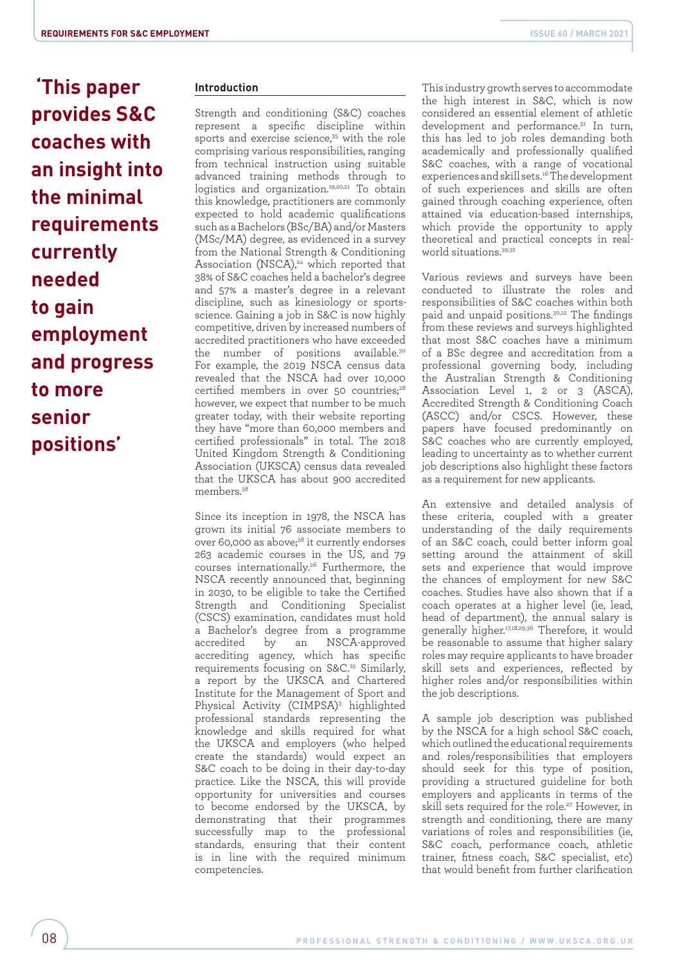**'This paper provides S&C coaches with an insight into the minimal requirements currently needed to gain employment and progress to more senior positions'**

# **Introduction**

Strength and conditioning (S&C) coaches represent a specific discipline within sports and exercise science.<sup>35</sup> with the role comprising various responsibilities, ranging from technical instruction using suitable advanced training methods through to logistics and organization.<sup>19,20,21</sup> To obtain this knowledge, practitioners are commonly expected to hold academic qualifications such as a Bachelors (BSc/BA) and/or Masters (MSc/MA) degree, as evidenced in a survey from the National Strength & Conditioning Association (NSCA),<sup>24</sup> which reported that 38% of S&C coaches held a bachelor's degree and 57% a master's degree in a relevant discipline, such as kinesiology or sportsscience. Gaining a job in S&C is now highly competitive, driven by increased numbers of accredited practitioners who have exceeded the number of positions available.<sup>30</sup> For example, the 2019 NSCA census data revealed that the NSCA had over 10,000 certified members in over 50 countries;<sup>28</sup> however, we expect that number to be much greater today, with their website reporting they have "more than 60,000 members and certified professionals" in total. The 2018 United Kingdom Strength & Conditioning Association (UKSCA) census data revealed that the UKSCA has about 900 accredited members<sup>38</sup>

Since its inception in 1978, the NSCA has grown its initial 76 associate members to over 60,000 as above; $^{28}$  it currently endorses 263 academic courses in the US, and 79 courses internationally.26 Furthermore, the NSCA recently announced that, beginning in 2030, to be eligible to take the Certified Strength and Conditioning Specialist (CSCS) examination, candidates must hold a Bachelor's degree from a programme accredited by an NSCA-approved accrediting agency, which has specific requirements focusing on S&C.<sup>25</sup> Similarly, a report by the UKSCA and Chartered Institute for the Management of Sport and Physical Activity (CIMPSA)<sup>3</sup> highlighted professional standards representing the knowledge and skills required for what the UKSCA and employers (who helped create the standards) would expect an S&C coach to be doing in their day-to-day practice. Like the NSCA, this will provide opportunity for universities and courses to become endorsed by the UKSCA, by demonstrating that their programmes successfully map to the professional standards, ensuring that their content is in line with the required minimum competencies.

This industry growth serves to accommodate the high interest in S&C, which is now considered an essential element of athletic development and performance.<sup>31</sup> In turn, this has led to job roles demanding both academically and professionally qualified S&C coaches, with a range of vocational experiences and skill sets.16 The development of such experiences and skills are often gained through coaching experience, often attained via education-based internships, which provide the opportunity to apply theoretical and practical concepts in realworld situations.39,32

Various reviews and surveys have been conducted to illustrate the roles and responsibilities of S&C coaches within both paid and unpaid positions.30,12 The findings from these reviews and surveys highlighted that most S&C coaches have a minimum of a BSc degree and accreditation from a professional governing body, including the Australian Strength & Conditioning Association Level 1, 2 or 3 (ASCA), Accredited Strength & Conditioning Coach (ASCC) and/or CSCS. However, these papers have focused predominantly on S&C coaches who are currently employed, leading to uncertainty as to whether current job descriptions also highlight these factors as a requirement for new applicants.

An extensive and detailed analysis of these criteria, coupled with a greater understanding of the daily requirements of an S&C coach, could better inform goal setting around the attainment of skill sets and experience that would improve the chances of employment for new S&C coaches. Studies have also shown that if a coach operates at a higher level (ie, lead, head of department), the annual salary is generally higher.17,18,29,36 Therefore, it would be reasonable to assume that higher salary roles may require applicants to have broader skill sets and experiences, reflected by higher roles and/or responsibilities within the job descriptions.

A sample job description was published by the NSCA for a high school S&C coach, which outlined the educational requirements and roles/responsibilities that employers should seek for this type of position, providing a structured guideline for both employers and applicants in terms of the skill sets required for the role.<sup>27</sup> However, in strength and conditioning, there are many variations of roles and responsibilities (ie, S&C coach, performance coach, athletic trainer, fitness coach, S&C specialist, etc) that would benefit from further clarification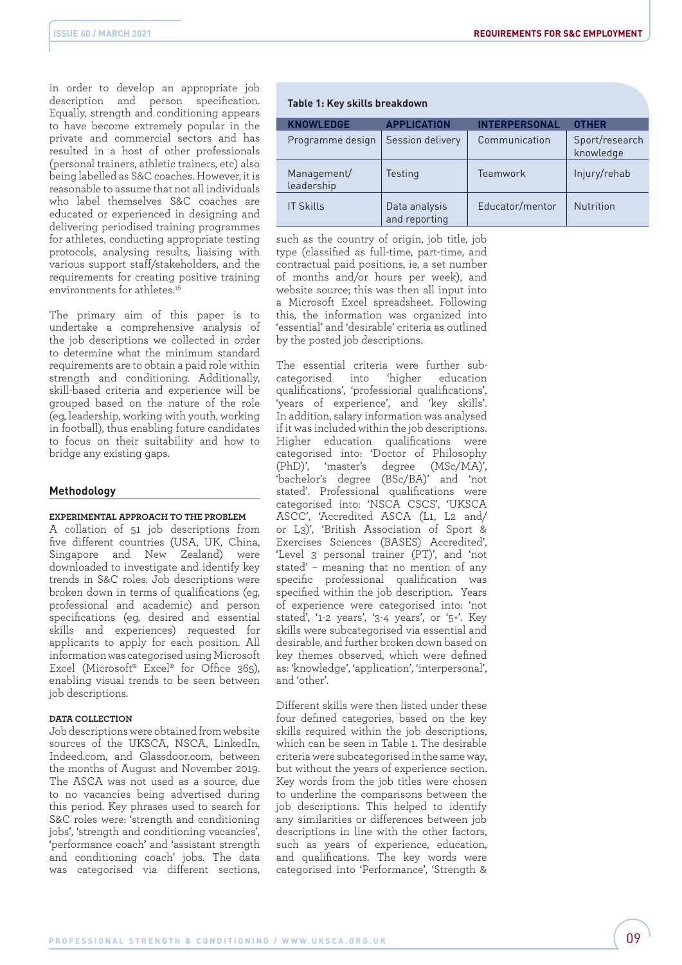in order to develop an appropriate job description and person specification. Equally, strength and conditioning appears to have become extremely popular in the private and commercial sectors and has resulted in a host of other professionals (personal trainers, athletic trainers, etc) also being labelled as S&C coaches. However, it is reasonable to assume that not all individuals who label themselves S&C coaches are educated or experienced in designing and delivering periodised training programmes for athletes, conducting appropriate testing protocols, analysing results, liaising with various support staff/stakeholders, and the requirements for creating positive training environments for athletes.<sup>1</sup>

The primary aim of this paper is to undertake a comprehensive analysis of the job descriptions we collected in order to determine what the minimum standard requirements are to obtain a paid role within strength and conditioning. Additionally, skill-based criteria and experience will be grouped based on the nature of the role (eg, leadership, working with youth, working in football), thus enabling future candidates to focus on their suitability and how to bridge any existing gaps.

#### **Methodology**

#### **EXPERIMENTAL APPROACH TO THE PROBLEM**

A collation of 51 job descriptions from five different countries (USA, UK, China, Singapore and New Zealand) were downloaded to investigate and identify key trends in S&C roles. Job descriptions were broken down in terms of qualifications (eg, professional and academic) and person specifications (eg, desired and essential skills and experiences) requested for applicants to apply for each position. All information was categorised using Microsoft Excel (Microsoft® Excel® for Office 365), enabling visual trends to be seen between job descriptions.

#### **DATA COLLECTION**

Job descriptions were obtained from website sources of the UKSCA, NSCA, LinkedIn, Indeed.com, and Glassdoor.com, between the months of August and November 2019. The ASCA was not used as a source, due to no vacancies being advertised during this period. Key phrases used to search for S&C roles were: 'strength and conditioning jobs', 'strength and conditioning vacancies', 'performance coach' and 'assistant strength and conditioning coach' jobs. The data was categorised via different sections,

# **Table 1: Key skills breakdown**

| <b>KNOWLEDGE</b>          | <b>APPLICATION</b>             | <b>INTERPERSONAL</b> | <b>OTHER</b>                |
|---------------------------|--------------------------------|----------------------|-----------------------------|
| Programme design          | Session delivery               | Communication        | Sport/research<br>knowledge |
| Management/<br>leadership | Testing                        | Teamwork             | Injury/rehab                |
| <b>IT Skills</b>          | Data analysis<br>and reporting | Educator/mentor      | <b>Nutrition</b>            |

such as the country of origin, job title, job type (classified as full-time, part-time, and contractual paid positions, ie, a set number of months and/or hours per week), and website source; this was then all input into a Microsoft Excel spreadsheet. Following this, the information was organized into 'essential' and 'desirable' criteria as outlined by the posted job descriptions.

The essential criteria were further subcategorised into 'higher education qualifications', 'professional qualifications', 'years of experience', and 'key skills'. In addition, salary information was analysed if it was included within the job descriptions. Higher education qualifications were categorised into: 'Doctor of Philosophy (PhD)', 'master's degree (MSc/MA)', 'bachelor's degree (BSc/BA)' and 'not stated'. Professional qualifications were categorised into: 'NSCA CSCS', 'UKSCA ASCC', 'Accredited ASCA (L1, L2 and/ or L3)', 'British Association of Sport & Exercises Sciences (BASES) Accredited', 'Level 3 personal trainer (PT)', and 'not stated' – meaning that no mention of any specific professional qualification was specified within the job description. Years of experience were categorised into: 'not stated', '1-2 years', '3-4 years', or '5+'. Key skills were subcategorised via essential and desirable, and further broken down based on key themes observed, which were defined as: 'knowledge', 'application', 'interpersonal', and 'other'.

Different skills were then listed under these four defined categories, based on the key skills required within the job descriptions, which can be seen in Table 1. The desirable criteria were subcategorised in the same way, but without the years of experience section. Key words from the job titles were chosen to underline the comparisons between the job descriptions. This helped to identify any similarities or differences between job descriptions in line with the other factors, such as years of experience, education, and qualifications. The key words were categorised into 'Performance', 'Strength &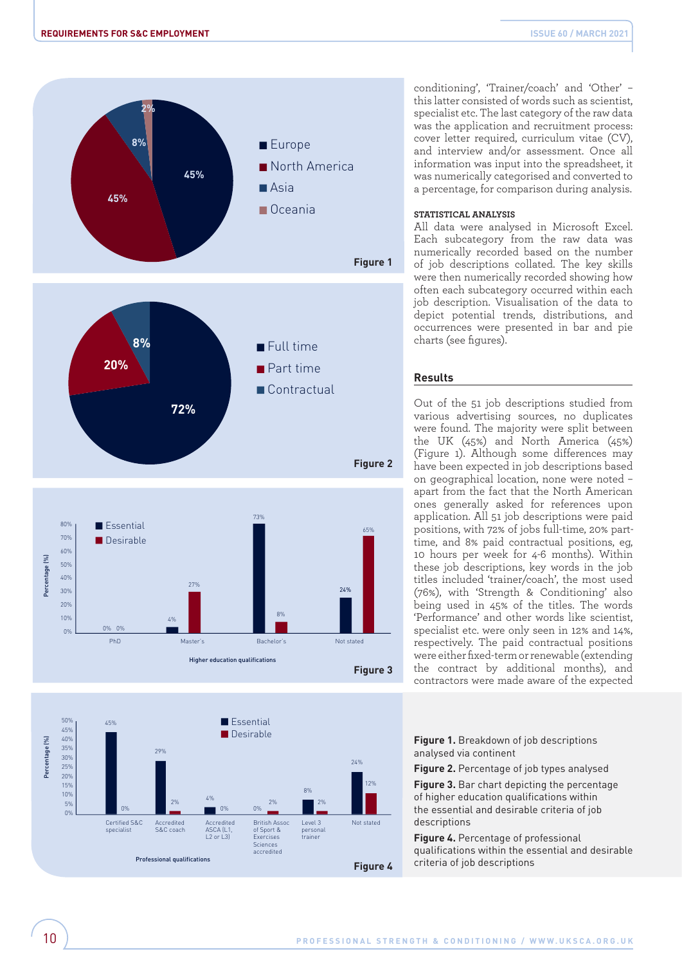



conditioning', 'Trainer/coach' and 'Other' – this latter consisted of words such as scientist, specialist etc. The last category of the raw data was the application and recruitment process: cover letter required, curriculum vitae (CV), and interview and/or assessment. Once all information was input into the spreadsheet, it was numerically categorised and converted to a percentage, for comparison during analysis.

#### **STATISTICAL ANALYSIS**

All data were analysed in Microsoft Excel. Each subcategory from the raw data was numerically recorded based on the number of job descriptions collated. The key skills were then numerically recorded showing how often each subcategory occurred within each job description. Visualisation of the data to depict potential trends, distributions, and occurrences were presented in bar and pie charts (see figures).

## **Results**

Out of the 51 job descriptions studied from various advertising sources, no duplicates were found. The majority were split between the UK (45%) and North America (45%) (Figure 1). Although some differences may have been expected in job descriptions based on geographical location, none were noted – apart from the fact that the North American ones generally asked for references upon application. All 51 job descriptions were paid positions, with 72% of jobs full-time, 20% parttime, and 8% paid contractual positions, eg, 10 hours per week for 4-6 months). Within these job descriptions, key words in the job titles included 'trainer/coach', the most used (76%), with 'Strength & Conditioning' also being used in 45% of the titles. The words 'Performance' and other words like scientist, specialist etc. were only seen in 12% and 14%, respectively. The paid contractual positions were either fixed-term or renewable (extending the contract by additional months), and contractors were made aware of the expected

**Figure 1.** Breakdown of job descriptions analysed via continent

**Figure 2.** Percentage of job types analysed

**Figure 3.** Bar chart depicting the percentage of higher education qualifications within the essential and desirable criteria of job descriptions

**Figure 4.** Percentage of professional qualifications within the essential and desirable criteria of job descriptions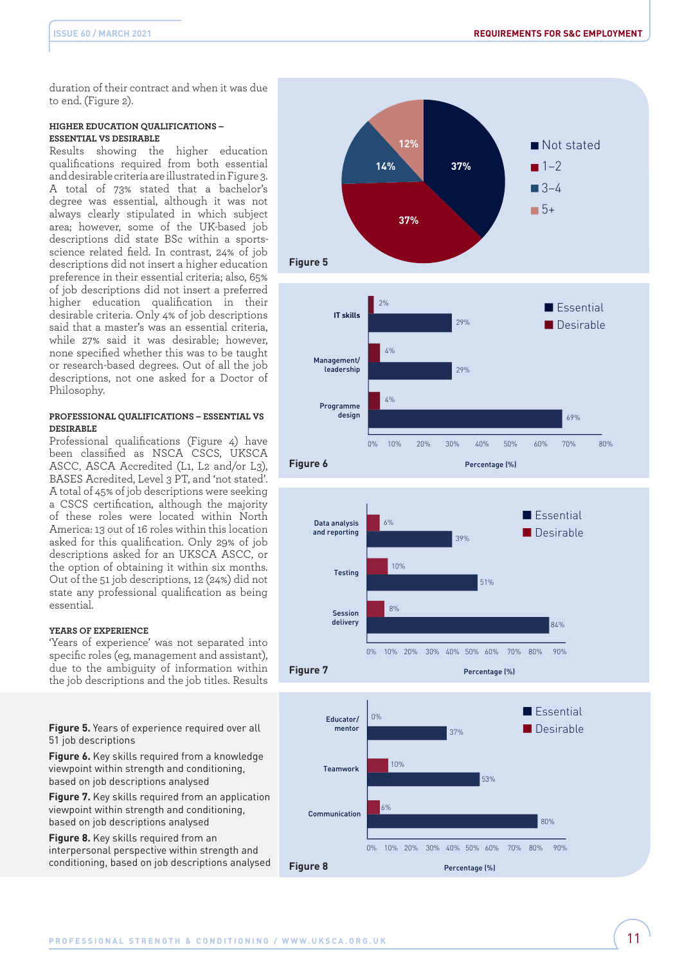duration of their contract and when it was due to end. (Figure 2).

#### **HIGHER EDUCATION QUALIFICATIONS – ESSENTIAL VS DESIRABLE**

Results showing the higher education qualifications required from both essential and desirable criteria are illustrated in Figure 3. A total of 73% stated that a bachelor's degree was essential, although it was not always clearly stipulated in which subject area; however, some of the UK-based job descriptions did state BSc within a sportsscience related field. In contrast, 24% of job descriptions did not insert a higher education preference in their essential criteria; also, 65% of job descriptions did not insert a preferred higher education qualification in their desirable criteria. Only 4% of job descriptions said that a master's was an essential criteria, while 27% said it was desirable; however, none specified whether this was to be taught or research-based degrees. Out of all the job descriptions, not one asked for a Doctor of Philosophy.

#### **PROFESSIONAL QUALIFICATIONS – ESSENTIAL VS DESIRABLE**

Professional qualifications (Figure 4) have been classified as NSCA CSCS, UKSCA ASCC, ASCA Accredited (L1, L2 and/or L3), BASES Acredited, Level 3 PT, and 'not stated'. A total of 45% of job descriptions were seeking a CSCS certification, although the majority of these roles were located within North America: 13 out of 16 roles within this location asked for this qualification. Only 29% of job descriptions asked for an UKSCA ASCC, or the option of obtaining it within six months. Out of the 51 job descriptions, 12 (24%) did not state any professional qualification as being essential.

# **YEARS OF EXPERIENCE**

'Years of experience' was not separated into specific roles (eg, management and assistant), due to the ambiguity of information within the job descriptions and the job titles. Results

**Figure 5.** Years of experience required over all 51 job descriptions

**Figure 6.** Key skills required from a knowledge viewpoint within strength and conditioning, based on job descriptions analysed

**Figure 7.** Key skills required from an application viewpoint within strength and conditioning, based on job descriptions analysed

**Figure 8.** Key skills required from an interpersonal perspective within strength and conditioning, based on job descriptions analysed





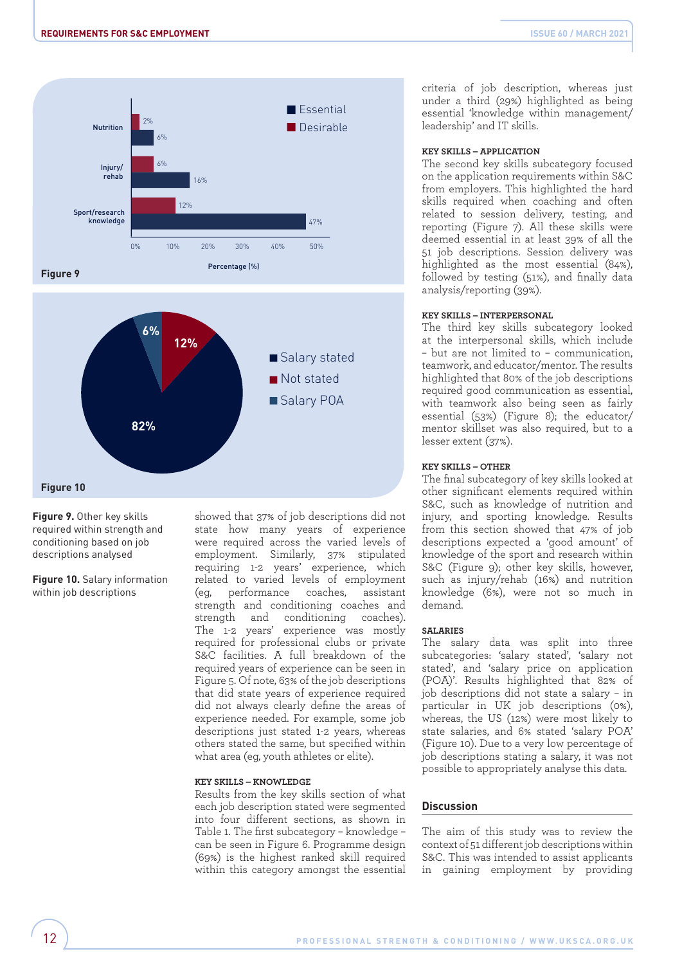



**Figure 9.** Other key skills required within strength and conditioning based on job descriptions analysed

**Figure 10.** Salary information within job descriptions

showed that 37% of job descriptions did not state how many years of experience were required across the varied levels of employment. Similarly, 37% stipulated requiring 1-2 years' experience, which related to varied levels of employment (eg, performance coaches, assistant strength and conditioning coaches and strength and conditioning coaches). The 1-2 years' experience was mostly required for professional clubs or private S&C facilities. A full breakdown of the required years of experience can be seen in Figure 5. Of note, 63% of the job descriptions that did state years of experience required did not always clearly define the areas of experience needed. For example, some job descriptions just stated 1-2 years, whereas others stated the same, but specified within what area (eg, youth athletes or elite).

#### **KEY SKILLS – KNOWLEDGE**

Results from the key skills section of what each job description stated were segmented into four different sections, as shown in Table 1. The first subcategory – knowledge – can be seen in Figure 6. Programme design (69%) is the highest ranked skill required within this category amongst the essential

criteria of job description, whereas just under a third (29%) highlighted as being essential 'knowledge within management/ leadership' and IT skills.

#### **KEY SKILLS – APPLICATION**

The second key skills subcategory focused on the application requirements within S&C from employers. This highlighted the hard skills required when coaching and often related to session delivery, testing, and reporting (Figure 7). All these skills were deemed essential in at least 39% of all the 51 job descriptions. Session delivery was highlighted as the most essential (84%), followed by testing (51%), and finally data analysis/reporting (39%).

#### **KEY SKILLS – INTERPERSONAL**

The third key skills subcategory looked at the interpersonal skills, which include – but are not limited to – communication, teamwork, and educator/mentor. The results highlighted that 80% of the job descriptions required good communication as essential, with teamwork also being seen as fairly essential (53%) (Figure 8); the educator/ mentor skillset was also required, but to a lesser extent (37%).

#### **KEY SKILLS – OTHER**

The final subcategory of key skills looked at other significant elements required within S&C, such as knowledge of nutrition and injury, and sporting knowledge. Results from this section showed that 47% of job descriptions expected a 'good amount' of knowledge of the sport and research within S&C (Figure 9); other key skills, however, such as injury/rehab (16%) and nutrition knowledge (6%), were not so much in demand.

#### **SALARIES**

The salary data was split into three subcategories: 'salary stated', 'salary not stated', and 'salary price on application (POA)'. Results highlighted that 82% of job descriptions did not state a salary – in particular in UK job descriptions (0%), whereas, the US (12%) were most likely to state salaries, and 6% stated 'salary POA' (Figure 10). Due to a very low percentage of job descriptions stating a salary, it was not possible to appropriately analyse this data.

#### **Discussion**

The aim of this study was to review the context of 51 different job descriptions within S&C. This was intended to assist applicants in gaining employment by providing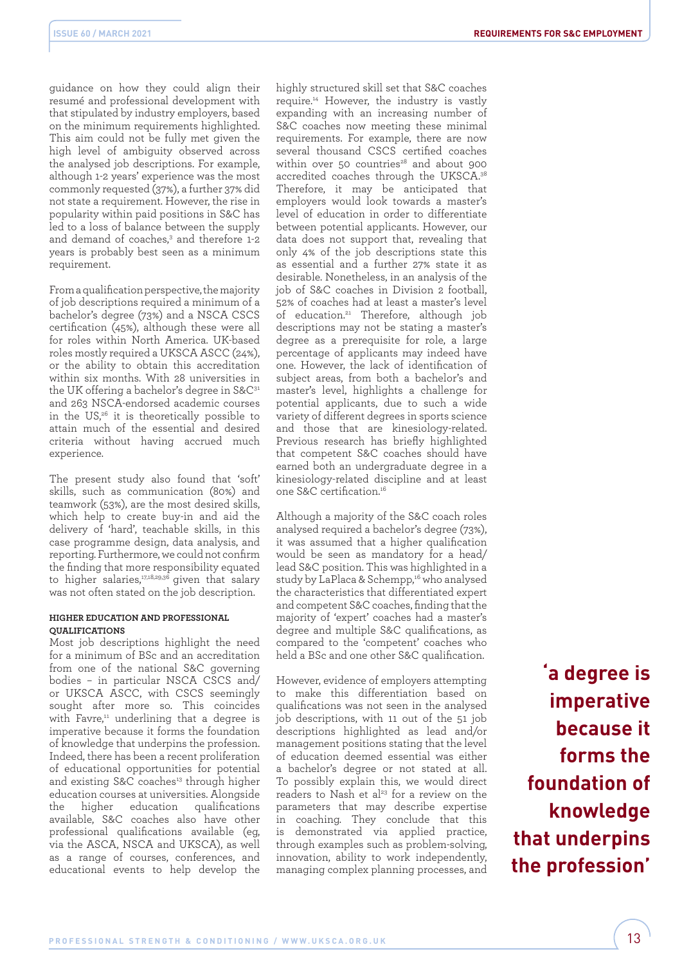guidance on how they could align their resumé and professional development with that stipulated by industry employers, based on the minimum requirements highlighted. This aim could not be fully met given the high level of ambiguity observed across the analysed job descriptions. For example, although 1-2 years' experience was the most commonly requested (37%), a further 37% did not state a requirement. However, the rise in popularity within paid positions in S&C has led to a loss of balance between the supply and demand of coaches,<sup>3</sup> and therefore 1-2 years is probably best seen as a minimum requirement.

From a qualification perspective, the majority of job descriptions required a minimum of a bachelor's degree (73%) and a NSCA CSCS certification (45%), although these were all for roles within North America. UK-based roles mostly required a UKSCA ASCC (24%), or the ability to obtain this accreditation within six months. With 28 universities in the UK offering a bachelor's degree in S&C<sup>31</sup> and 263 NSCA-endorsed academic courses in the US,26 it is theoretically possible to attain much of the essential and desired criteria without having accrued much experience.

The present study also found that 'soft' skills, such as communication (80%) and teamwork (53%), are the most desired skills, which help to create buy-in and aid the delivery of 'hard', teachable skills, in this case programme design, data analysis, and reporting. Furthermore, we could not confirm the finding that more responsibility equated to higher salaries,17,18,29,36 given that salary was not often stated on the job description.

#### **HIGHER EDUCATION AND PROFESSIONAL QUALIFICATIONS**

Most job descriptions highlight the need for a minimum of BSc and an accreditation from one of the national S&C governing bodies – in particular NSCA CSCS and/ or UKSCA ASCC, with CSCS seemingly sought after more so. This coincides with Favre,<sup>11</sup> underlining that a degree is imperative because it forms the foundation of knowledge that underpins the profession. Indeed, there has been a recent proliferation of educational opportunities for potential and existing S&C coaches<sup>13</sup> through higher education courses at universities. Alongside the higher education qualifications available, S&C coaches also have other professional qualifications available (eg, via the ASCA, NSCA and UKSCA), as well as a range of courses, conferences, and educational events to help develop the

highly structured skill set that S&C coaches require.14 However, the industry is vastly expanding with an increasing number of S&C coaches now meeting these minimal requirements. For example, there are now several thousand CSCS certified coaches within over 50 countries $28$  and about 900 accredited coaches through the UKSCA.38 Therefore, it may be anticipated that employers would look towards a master's level of education in order to differentiate between potential applicants. However, our data does not support that, revealing that only 4% of the job descriptions state this as essential and a further 27% state it as desirable. Nonetheless, in an analysis of the job of S&C coaches in Division 2 football, 52% of coaches had at least a master's level of education.21 Therefore, although job descriptions may not be stating a master's degree as a prerequisite for role, a large percentage of applicants may indeed have one. However, the lack of identification of subject areas, from both a bachelor's and master's level, highlights a challenge for potential applicants, due to such a wide variety of different degrees in sports science and those that are kinesiology-related. Previous research has briefly highlighted that competent S&C coaches should have earned both an undergraduate degree in a kinesiology-related discipline and at least one S&C certification.16

Although a majority of the S&C coach roles analysed required a bachelor's degree (73%), it was assumed that a higher qualification would be seen as mandatory for a head/ lead S&C position. This was highlighted in a study by LaPlaca & Schempp,<sup>16</sup> who analysed the characteristics that differentiated expert and competent S&C coaches, finding that the majority of 'expert' coaches had a master's degree and multiple S&C qualifications, as compared to the 'competent' coaches who held a BSc and one other S&C qualification.

However, evidence of employers attempting to make this differentiation based on qualifications was not seen in the analysed job descriptions, with 11 out of the 51 job descriptions highlighted as lead and/or management positions stating that the level of education deemed essential was either a bachelor's degree or not stated at all. To possibly explain this, we would direct readers to Nash et al<sup>23</sup> for a review on the parameters that may describe expertise in coaching. They conclude that this is demonstrated via applied practice, through examples such as problem-solving, innovation, ability to work independently, managing complex planning processes, and

 **'a degree is imperative because it forms the foundation of knowledge that underpins the profession'**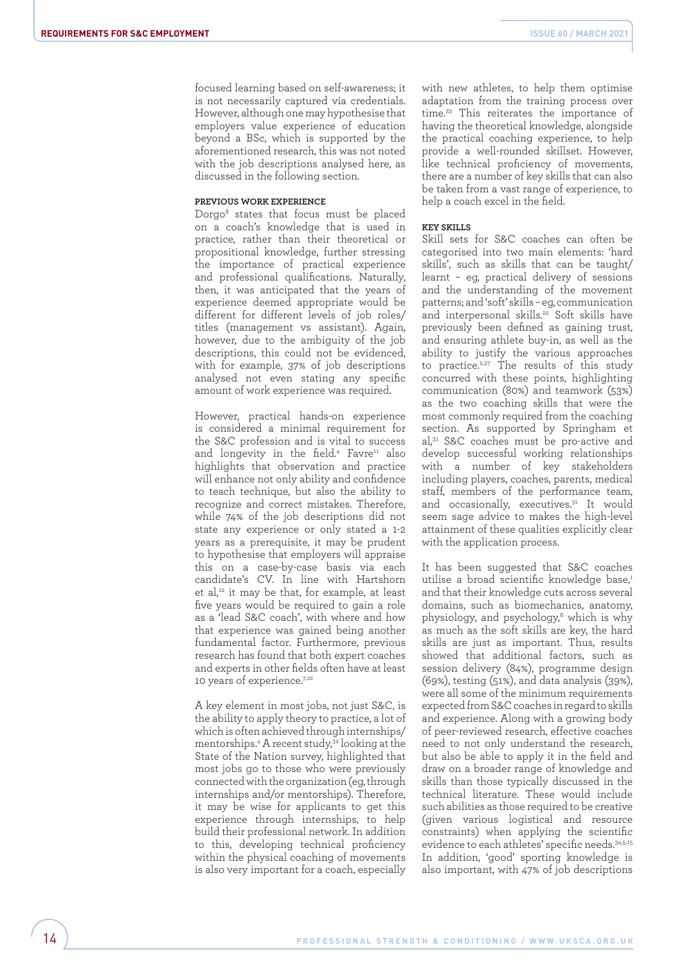focused learning based on self-awareness; it is not necessarily captured via credentials. However, although one may hypothesise that employers value experience of education beyond a BSc, which is supported by the aforementioned research, this was not noted with the job descriptions analysed here, as discussed in the following section.

#### **PREVIOUS WORK EXPERIENCE**

Dorgo8 states that focus must be placed on a coach's knowledge that is used in practice, rather than their theoretical or propositional knowledge, further stressing the importance of practical experience and professional qualifications. Naturally, then, it was anticipated that the years of experience deemed appropriate would be different for different levels of job roles/ titles (management vs assistant). Again, however, due to the ambiguity of the job descriptions, this could not be evidenced, with for example, 37% of job descriptions analysed not even stating any specific amount of work experience was required.

However, practical hands-on experience is considered a minimal requirement for the S&C profession and is vital to success and longevity in the field.<sup>4</sup> Favre<sup>11</sup> also highlights that observation and practice will enhance not only ability and confidence to teach technique, but also the ability to recognize and correct mistakes. Therefore, while 74% of the job descriptions did not state any experience or only stated a 1-2 years as a prerequisite, it may be prudent to hypothesise that employers will appraise this on a case-by-case basis via each candidate's CV. In line with Hartshorn et al,<sup>12</sup> it may be that, for example, at least five years would be required to gain a role as a 'lead S&C coach', with where and how that experience was gained being another fundamental factor. Furthermore, previous research has found that both expert coaches and experts in other fields often have at least 10 years of experience.7,10

A key element in most jobs, not just S&C, is the ability to apply theory to practice, a lot of which is often achieved through internships/ mentorships.4 A recent study,32 looking at the State of the Nation survey, highlighted that most jobs go to those who were previously connected with the organization (eg, through internships and/or mentorships). Therefore, it may be wise for applicants to get this experience through internships, to help build their professional network. In addition to this, developing technical proficiency within the physical coaching of movements is also very important for a coach, especially with new athletes, to help them optimise adaptation from the training process over time.33 This reiterates the importance of having the theoretical knowledge, alongside the practical coaching experience, to help provide a well-rounded skillset. However, like technical proficiency of movements, there are a number of key skills that can also be taken from a vast range of experience, to help a coach excel in the field.

#### **KEY SKILLS**

Skill sets for S&C coaches can often be categorised into two main elements: 'hard skills', such as skills that can be taught/ learnt – eg, practical delivery of sessions and the understanding of the movement patterns; and 'soft' skills – eg, communication and interpersonal skills.<sup>22</sup> Soft skills have previously been defined as gaining trust, and ensuring athlete buy-in, as well as the ability to justify the various approaches to practice.<sup>2,37</sup> The results of this study concurred with these points, highlighting communication (80%) and teamwork (53%) as the two coaching skills that were the most commonly required from the coaching section. As supported by Springham et al,31 S&C coaches must be pro-active and develop successful working relationships with a number of key stakeholders including players, coaches, parents, medical staff, members of the performance team, and occasionally, executives.<sup>31</sup> It would seem sage advice to makes the high-level attainment of these qualities explicitly clear with the application process.

It has been suggested that S&C coaches utilise a broad scientific knowledge base,<sup>1</sup> and that their knowledge cuts across several domains, such as biomechanics, anatomy, physiology, and psychology,<sup>6</sup> which is why as much as the soft skills are key, the hard skills are just as important. Thus, results showed that additional factors, such as session delivery (84%), programme design (69%), testing (51%), and data analysis (39%), were all some of the minimum requirements expected from S&C coaches in regard to skills and experience. Along with a growing body of peer-reviewed research, effective coaches need to not only understand the research, but also be able to apply it in the field and draw on a broader range of knowledge and skills than those typically discussed in the technical literature. These would include such abilities as those required to be creative (given various logistical and resource constraints) when applying the scientific evidence to each athletes' specific needs.34,5,15 In addition, 'good' sporting knowledge is also important, with 47% of job descriptions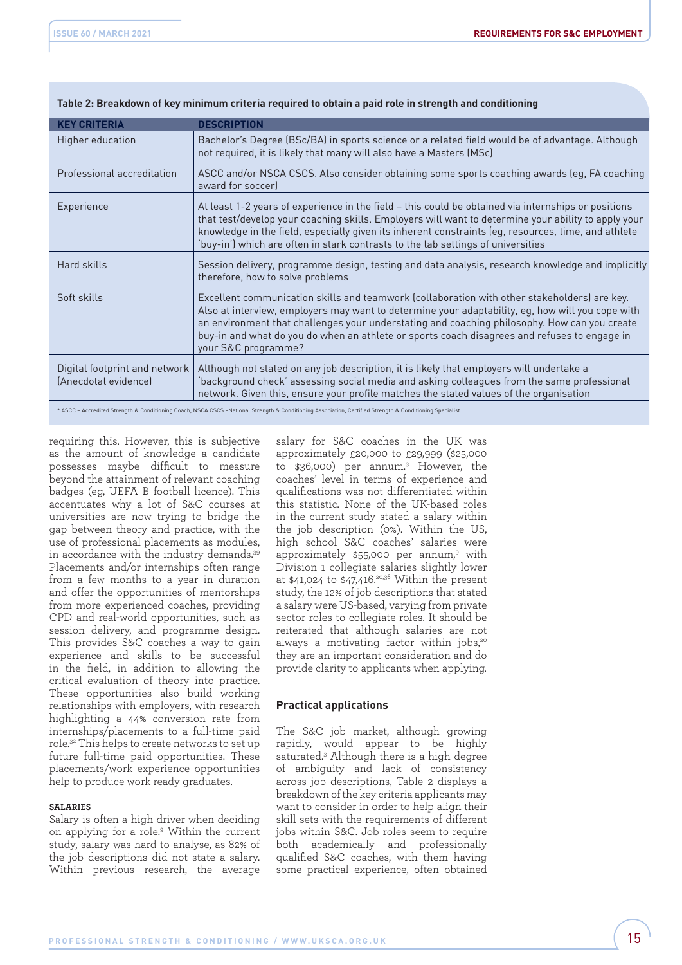| <b>KEY CRITERIA</b>                                     | <b>DESCRIPTION</b>                                                                                                                                                                                                                                                                                                                                                                                                      |
|---------------------------------------------------------|-------------------------------------------------------------------------------------------------------------------------------------------------------------------------------------------------------------------------------------------------------------------------------------------------------------------------------------------------------------------------------------------------------------------------|
| Higher education                                        | Bachelor's Degree (BSc/BA) in sports science or a related field would be of advantage. Although<br>not required, it is likely that many will also have a Masters (MSc)                                                                                                                                                                                                                                                  |
| Professional accreditation                              | ASCC and/or NSCA CSCS. Also consider obtaining some sports coaching awards (eg, FA coaching<br>award for soccer)                                                                                                                                                                                                                                                                                                        |
| Experience                                              | At least 1-2 years of experience in the field – this could be obtained via internships or positions<br>that test/develop your coaching skills. Employers will want to determine your ability to apply your<br>knowledge in the field, especially given its inherent constraints (eg, resources, time, and athlete<br>'buy-in') which are often in stark contrasts to the lab settings of universities                   |
| Hard skills                                             | Session delivery, programme design, testing and data analysis, research knowledge and implicitly<br>therefore, how to solve problems                                                                                                                                                                                                                                                                                    |
| Soft skills                                             | Excellent communication skills and teamwork (collaboration with other stakeholders) are key.<br>Also at interview, employers may want to determine your adaptability, eg, how will you cope with<br>an environment that challenges your understating and coaching philosophy. How can you create<br>buy-in and what do you do when an athlete or sports coach disagrees and refuses to engage in<br>your S&C programme? |
| Digital footprint and network  <br>(Anecdotal evidence) | Although not stated on any job description, it is likely that employers will undertake a<br>background check' assessing social media and asking colleagues from the same professional<br>network. Given this, ensure your profile matches the stated values of the organisation                                                                                                                                         |

## **Table 2: Breakdown of key minimum criteria required to obtain a paid role in strength and conditioning**

\* ASCC – Accredited Strength & Conditioning Coach, NSCA CSCS –National Strength & Conditioning Association, Certified Strength & Conditioning Specialist

requiring this. However, this is subjective as the amount of knowledge a candidate possesses maybe difficult to measure beyond the attainment of relevant coaching badges (eg, UEFA B football licence). This accentuates why a lot of S&C courses at universities are now trying to bridge the gap between theory and practice, with the use of professional placements as modules, in accordance with the industry demands.39 Placements and/or internships often range from a few months to a year in duration and offer the opportunities of mentorships from more experienced coaches, providing CPD and real-world opportunities, such as session delivery, and programme design. This provides S&C coaches a way to gain experience and skills to be successful in the field, in addition to allowing the critical evaluation of theory into practice. These opportunities also build working relationships with employers, with research highlighting a 44% conversion rate from internships/placements to a full-time paid role.32 This helps to create networks to set up future full-time paid opportunities. These placements/work experience opportunities help to produce work ready graduates.

#### **SALARIES**

Salary is often a high driver when deciding on applying for a role.9 Within the current study, salary was hard to analyse, as 82% of the job descriptions did not state a salary. Within previous research, the average

salary for S&C coaches in the UK was approximately £20,000 to £29,999 (\$25,000 to \$36,000) per annum.3 However, the coaches' level in terms of experience and qualifications was not differentiated within this statistic. None of the UK-based roles in the current study stated a salary within the job description (0%). Within the US, high school S&C coaches' salaries were approximately \$55,000 per annum,<sup>9</sup> with Division 1 collegiate salaries slightly lower at  $$41,024$  to  $$47,416.^{20,36}$  Within the present study, the 12% of job descriptions that stated a salary were US-based, varying from private sector roles to collegiate roles. It should be reiterated that although salaries are not always a motivating factor within jobs, $20^\circ$ they are an important consideration and do provide clarity to applicants when applying.

# **Practical applications**

The S&C job market, although growing rapidly, would appear to be highly saturated.3 Although there is a high degree of ambiguity and lack of consistency across job descriptions, Table 2 displays a breakdown of the key criteria applicants may want to consider in order to help align their skill sets with the requirements of different jobs within S&C. Job roles seem to require both academically and professionally qualified S&C coaches, with them having some practical experience, often obtained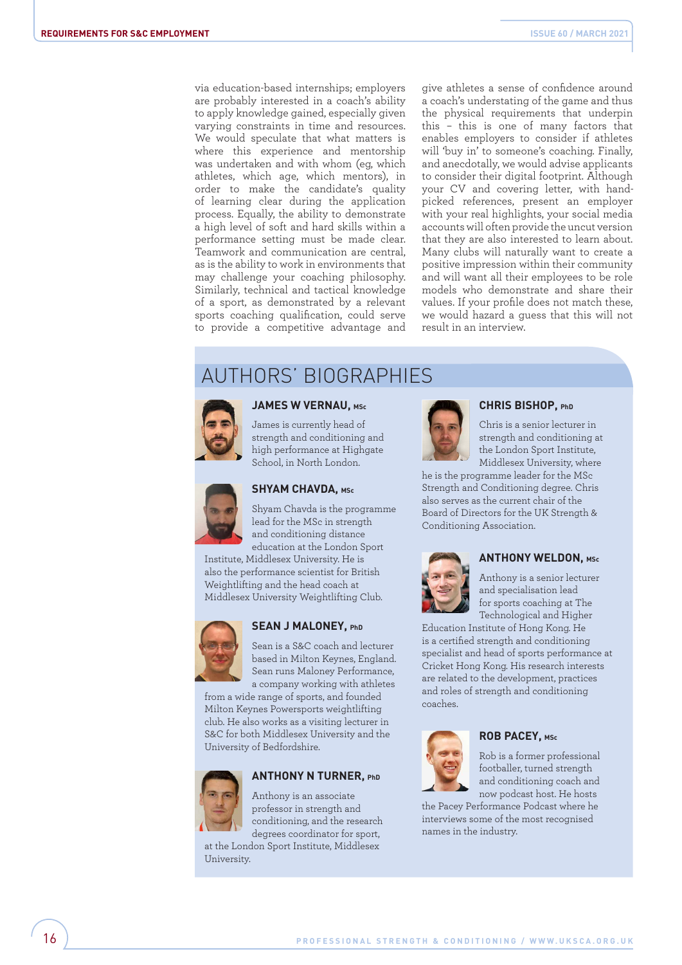via education-based internships; employers are probably interested in a coach's ability to apply knowledge gained, especially given varying constraints in time and resources. We would speculate that what matters is where this experience and mentorship was undertaken and with whom (eg, which athletes, which age, which mentors), in order to make the candidate's quality of learning clear during the application process. Equally, the ability to demonstrate a high level of soft and hard skills within a performance setting must be made clear. Teamwork and communication are central, as is the ability to work in environments that may challenge your coaching philosophy. Similarly, technical and tactical knowledge of a sport, as demonstrated by a relevant sports coaching qualification, could serve to provide a competitive advantage and

give athletes a sense of confidence around a coach's understating of the game and thus the physical requirements that underpin this – this is one of many factors that enables employers to consider if athletes will 'buy in' to someone's coaching. Finally, and anecdotally, we would advise applicants to consider their digital footprint. Although your CV and covering letter, with handpicked references, present an employer with your real highlights, your social media accounts will often provide the uncut version that they are also interested to learn about. Many clubs will naturally want to create a positive impression within their community and will want all their employees to be role models who demonstrate and share their values. If your profile does not match these, we would hazard a guess that this will not result in an interview.

# AUTHORS' BIOGRAPHIES



#### **JAMES W VERNAU, MSc**

James is currently head of strength and conditioning and high performance at Highgate School, in North London.



# **SHYAM CHAVDA, MSc**

Shyam Chavda is the programme lead for the MSc in strength and conditioning distance education at the London Sport

Institute, Middlesex University. He is also the performance scientist for British Weightlifting and the head coach at Middlesex University Weightlifting Club.



#### **SEAN J MALONEY, PhD**

Sean is a S&C coach and lecturer based in Milton Keynes, England. Sean runs Maloney Performance, a company working with athletes

from a wide range of sports, and founded Milton Keynes Powersports weightlifting club. He also works as a visiting lecturer in S&C for both Middlesex University and the University of Bedfordshire.



# **ANTHONY N TURNER, PhD**

Anthony is an associate professor in strength and conditioning, and the research degrees coordinator for sport,

at the London Sport Institute, Middlesex University.



#### **CHRIS BISHOP, PhD**

Chris is a senior lecturer in strength and conditioning at the London Sport Institute, Middlesex University, where

he is the programme leader for the MSc Strength and Conditioning degree. Chris also serves as the current chair of the Board of Directors for the UK Strength & Conditioning Association.



# **ANTHONY WELDON, MSc**

Anthony is a senior lecturer and specialisation lead for sports coaching at The Technological and Higher

Education Institute of Hong Kong. He is a certified strength and conditioning specialist and head of sports performance at Cricket Hong Kong. His research interests are related to the development, practices and roles of strength and conditioning coaches.



#### **ROB PACEY, MSc**

Rob is a former professional footballer, turned strength and conditioning coach and now podcast host. He hosts

the Pacey Performance Podcast where he interviews some of the most recognised names in the industry.